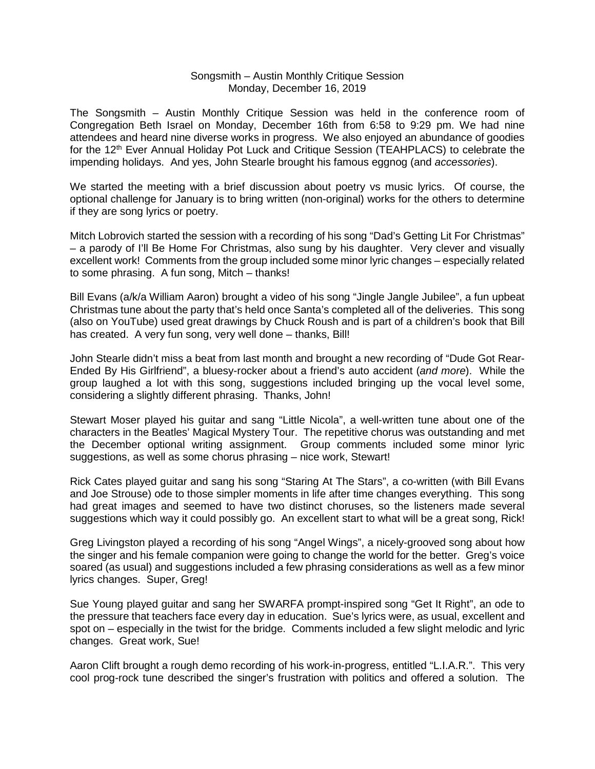## Songsmith – Austin Monthly Critique Session Monday, December 16, 2019

The Songsmith – Austin Monthly Critique Session was held in the conference room of Congregation Beth Israel on Monday, December 16th from 6:58 to 9:29 pm. We had nine attendees and heard nine diverse works in progress. We also enjoyed an abundance of goodies for the 12<sup>th</sup> Ever Annual Holiday Pot Luck and Critique Session (TEAHPLACS) to celebrate the impending holidays. And yes, John Stearle brought his famous eggnog (and *accessories*).

We started the meeting with a brief discussion about poetry vs music lyrics. Of course, the optional challenge for January is to bring written (non-original) works for the others to determine if they are song lyrics or poetry.

Mitch Lobrovich started the session with a recording of his song "Dad's Getting Lit For Christmas" – a parody of I'll Be Home For Christmas, also sung by his daughter. Very clever and visually excellent work! Comments from the group included some minor lyric changes – especially related to some phrasing. A fun song, Mitch – thanks!

Bill Evans (a/k/a William Aaron) brought a video of his song "Jingle Jangle Jubilee", a fun upbeat Christmas tune about the party that's held once Santa's completed all of the deliveries. This song (also on YouTube) used great drawings by Chuck Roush and is part of a children's book that Bill has created. A very fun song, very well done – thanks, Bill!

John Stearle didn't miss a beat from last month and brought a new recording of "Dude Got Rear-Ended By His Girlfriend", a bluesy-rocker about a friend's auto accident (*and more*). While the group laughed a lot with this song, suggestions included bringing up the vocal level some, considering a slightly different phrasing. Thanks, John!

Stewart Moser played his guitar and sang "Little Nicola", a well-written tune about one of the characters in the Beatles' Magical Mystery Tour. The repetitive chorus was outstanding and met the December optional writing assignment. Group comments included some minor lyric suggestions, as well as some chorus phrasing – nice work, Stewart!

Rick Cates played guitar and sang his song "Staring At The Stars", a co-written (with Bill Evans and Joe Strouse) ode to those simpler moments in life after time changes everything. This song had great images and seemed to have two distinct choruses, so the listeners made several suggestions which way it could possibly go. An excellent start to what will be a great song, Rick!

Greg Livingston played a recording of his song "Angel Wings", a nicely-grooved song about how the singer and his female companion were going to change the world for the better. Greg's voice soared (as usual) and suggestions included a few phrasing considerations as well as a few minor lyrics changes. Super, Greg!

Sue Young played guitar and sang her SWARFA prompt-inspired song "Get It Right", an ode to the pressure that teachers face every day in education. Sue's lyrics were, as usual, excellent and spot on – especially in the twist for the bridge. Comments included a few slight melodic and lyric changes. Great work, Sue!

Aaron Clift brought a rough demo recording of his work-in-progress, entitled "L.I.A.R.". This very cool prog-rock tune described the singer's frustration with politics and offered a solution. The